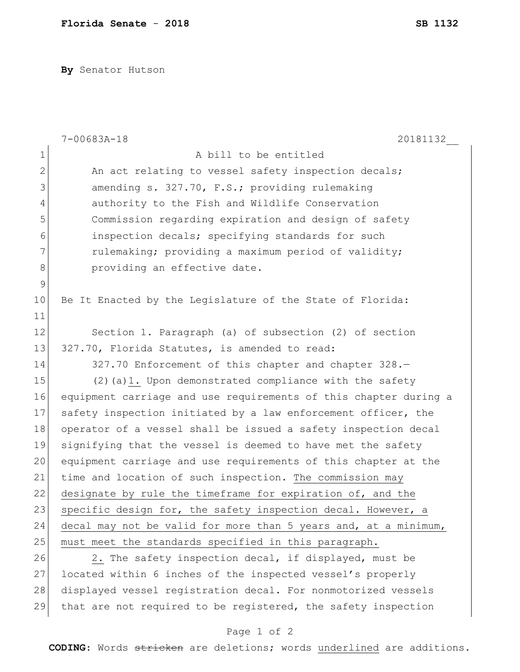**By** Senator Hutson

|              | $7 - 00683A - 18$<br>20181132                                    |
|--------------|------------------------------------------------------------------|
| $\mathbf 1$  | A bill to be entitled                                            |
| $\mathbf{2}$ | An act relating to vessel safety inspection decals;              |
| 3            | amending s. 327.70, F.S.; providing rulemaking                   |
| 4            | authority to the Fish and Wildlife Conservation                  |
| 5            | Commission regarding expiration and design of safety             |
| 6            | inspection decals; specifying standards for such                 |
| 7            | rulemaking; providing a maximum period of validity;              |
| 8            | providing an effective date.                                     |
| $\mathsf 9$  |                                                                  |
| 10           | Be It Enacted by the Legislature of the State of Florida:        |
| 11           |                                                                  |
| 12           | Section 1. Paragraph (a) of subsection (2) of section            |
| 13           | 327.70, Florida Statutes, is amended to read:                    |
| 14           | 327.70 Enforcement of this chapter and chapter 328.-             |
| 15           | $(2)$ (a) 1. Upon demonstrated compliance with the safety        |
| 16           | equipment carriage and use requirements of this chapter during a |
| 17           | safety inspection initiated by a law enforcement officer, the    |
| 18           | operator of a vessel shall be issued a safety inspection decal   |
| 19           | signifying that the vessel is deemed to have met the safety      |
| 20           | equipment carriage and use requirements of this chapter at the   |
| 21           | time and location of such inspection. The commission may         |
| 22           | designate by rule the timeframe for expiration of, and the       |
| 23           | specific design for, the safety inspection decal. However, a     |
| 24           | decal may not be valid for more than 5 years and, at a minimum,  |
| 25           | must meet the standards specified in this paragraph.             |
| 26           | 2. The safety inspection decal, if displayed, must be            |
| 27           | located within 6 inches of the inspected vessel's properly       |
| 28           | displayed vessel registration decal. For nonmotorized vessels    |
| 29           | that are not required to be registered, the safety inspection    |

## Page 1 of 2

**CODING**: Words stricken are deletions; words underlined are additions.